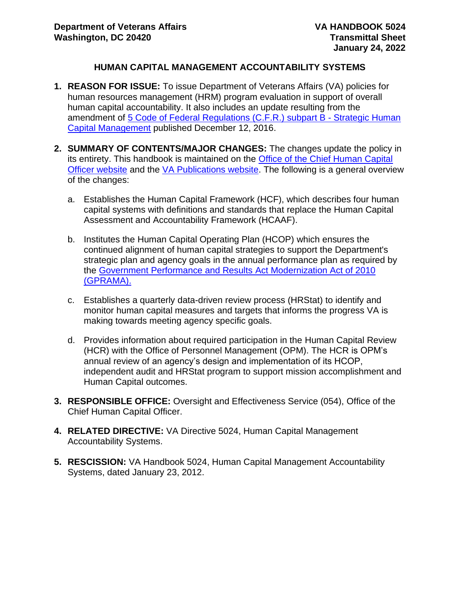### **HUMAN CAPITAL MANAGEMENT ACCOUNTABILITY SYSTEMS**

- **1. REASON FOR ISSUE:** To issue Department of Veterans Affairs (VA) policies for human resources management (HRM) program evaluation in support of overall human capital accountability. It also includes an update resulting from the amendment of [5 Code of Federal Regulations \(C.F.R.\) subpart B -](https://www.ecfr.gov/cgi-bin/text-idx?SID=408121f4686ffaad7edd02afa3bc6591&mc=true&node=pt5.1.250&rgn=div5#_top) Strategic Human [Capital Management](https://www.ecfr.gov/cgi-bin/text-idx?SID=408121f4686ffaad7edd02afa3bc6591&mc=true&node=pt5.1.250&rgn=div5#_top) published December 12, 2016.
- **2. SUMMARY OF CONTENTS/MAJOR CHANGES:** The changes update the policy in its entirety. This handbook is maintained on the [Office of the Chief Human Capital](https://vaww.va.gov/OHRM/HRLibrary/HRLibrary.asp)  [Officer website](https://vaww.va.gov/OHRM/HRLibrary/HRLibrary.asp) and the [VA Publications website.](https://www.va.gov/vapubs/search_action.cfm?dType=2) The following is a general overview of the changes:
	- a. Establishes the Human Capital Framework (HCF), which describes four human capital systems with definitions and standards that replace the Human Capital Assessment and Accountability Framework (HCAAF).
	- b. Institutes the Human Capital Operating Plan (HCOP) which ensures the continued alignment of human capital strategies to support the Department's strategic plan and agency goals in the annual performance plan as required by the [Government Performance and Results Act Modernization Act of 2010](https://obamawhitehouse.archives.gov/omb/mgmt-gpra/gplaw2m)  [\(GPRAMA\).](https://obamawhitehouse.archives.gov/omb/mgmt-gpra/gplaw2m)
	- c. Establishes a quarterly data-driven review process (HRStat) to identify and monitor human capital measures and targets that informs the progress VA is making towards meeting agency specific goals.
	- d. Provides information about required participation in the Human Capital Review (HCR) with the Office of Personnel Management (OPM). The HCR is OPM's annual review of an agency's design and implementation of its HCOP, independent audit and HRStat program to support mission accomplishment and Human Capital outcomes.
- **3. RESPONSIBLE OFFICE:** Oversight and Effectiveness Service (054), Office of the Chief Human Capital Officer.
- **4. RELATED DIRECTIVE:** VA Directive 5024, Human Capital Management Accountability Systems.
- **5. RESCISSION:** VA Handbook 5024, Human Capital Management Accountability Systems, dated January 23, 2012.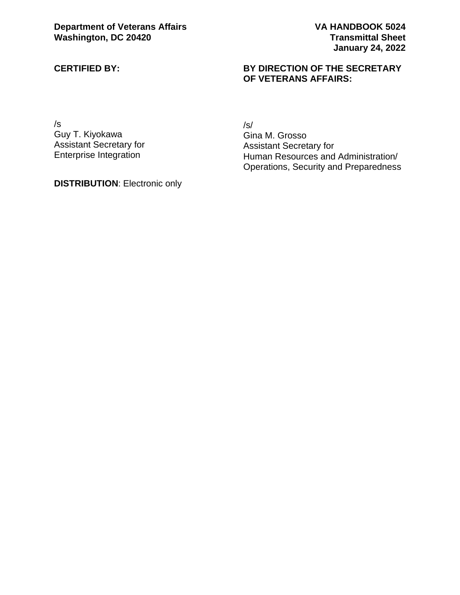#### **CERTIFIED BY:**

#### **BY DIRECTION OF THE SECRETARY OF VETERANS AFFAIRS:**

/s Guy T. Kiyokawa Assistant Secretary for Enterprise Integration

**DISTRIBUTION**: Electronic only

/s/ Gina M. Grosso Assistant Secretary for Human Resources and Administration/ Operations, Security and Preparedness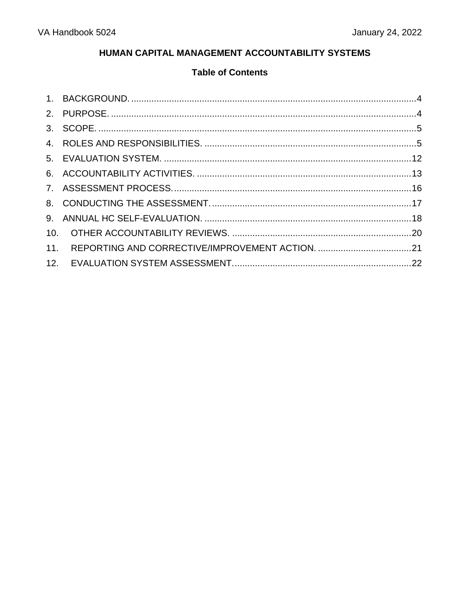## HUMAN CAPITAL MANAGEMENT ACCOUNTABILITY SYSTEMS

# **Table of Contents**

| 11. |  |
|-----|--|
|     |  |
|     |  |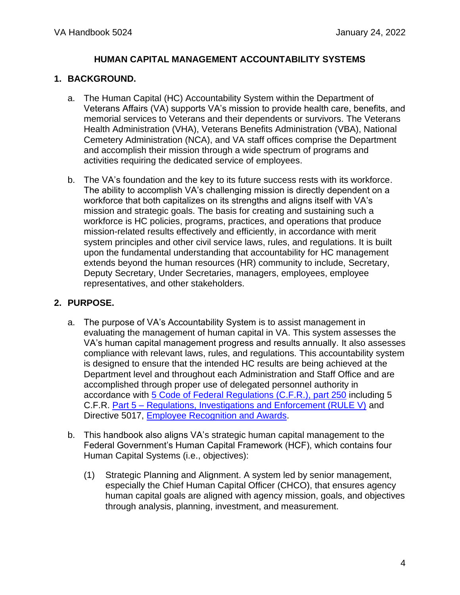## **HUMAN CAPITAL MANAGEMENT ACCOUNTABILITY SYSTEMS**

## <span id="page-3-0"></span>**1. BACKGROUND.**

- a. The Human Capital (HC) Accountability System within the Department of Veterans Affairs (VA) supports VA's mission to provide health care, benefits, and memorial services to Veterans and their dependents or survivors. The Veterans Health Administration (VHA), Veterans Benefits Administration (VBA), National Cemetery Administration (NCA), and VA staff offices comprise the Department and accomplish their mission through a wide spectrum of programs and activities requiring the dedicated service of employees.
- b. The VA's foundation and the key to its future success rests with its workforce. The ability to accomplish VA's challenging mission is directly dependent on a workforce that both capitalizes on its strengths and aligns itself with VA's mission and strategic goals. The basis for creating and sustaining such a workforce is HC policies, programs, practices, and operations that produce mission-related results effectively and efficiently, in accordance with merit system principles and other civil service laws, rules, and regulations. It is built upon the fundamental understanding that accountability for HC management extends beyond the human resources (HR) community to include, Secretary, Deputy Secretary, Under Secretaries, managers, employees, employee representatives, and other stakeholders.

## <span id="page-3-1"></span>**2. PURPOSE.**

- a. The purpose of VA's Accountability System is to assist management in evaluating the management of human capital in VA. This system assesses the VA's human capital management progress and results annually. It also assesses compliance with relevant laws, rules, and regulations. This accountability system is designed to ensure that the intended HC results are being achieved at the Department level and throughout each Administration and Staff Office and are accomplished through proper use of delegated personnel authority in accordance with [5 Code of Federal Regulations \(C.F.R.\), part 250](https://www.ecfr.gov/current/title-5/chapter-I/subchapter-B/part-250) including 5 C.F.R. Part 5 – [Regulations, Investigations and Enforcement \(RULE V\)](https://www.ecfr.gov/current/title-5/chapter-I/subchapter-A/part-5) and Directive 5017, [Employee Recognition and Awards.](https://vaww.va.gov/OHRM/Directives-Handbooks/Documents/5017.pdf)
- b. This handbook also aligns VA's strategic human capital management to the Federal Government's Human Capital Framework (HCF), which contains four Human Capital Systems (i.e., objectives):
	- (1) Strategic Planning and Alignment. A system led by senior management, especially the Chief Human Capital Officer (CHCO), that ensures agency human capital goals are aligned with agency mission, goals, and objectives through analysis, planning, investment, and measurement.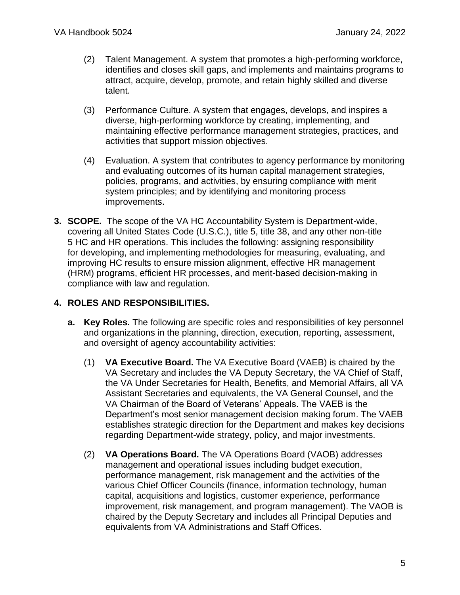- (2) Talent Management. A system that promotes a high-performing workforce, identifies and closes skill gaps, and implements and maintains programs to attract, acquire, develop, promote, and retain highly skilled and diverse talent.
- (3) Performance Culture. A system that engages, develops, and inspires a diverse, high-performing workforce by creating, implementing, and maintaining effective performance management strategies, practices, and activities that support mission objectives.
- (4) Evaluation. A system that contributes to agency performance by monitoring and evaluating outcomes of its human capital management strategies, policies, programs, and activities, by ensuring compliance with merit system principles; and by identifying and monitoring process improvements.
- <span id="page-4-0"></span>**3. SCOPE.** The scope of the VA HC Accountability System is Department-wide, covering all United States Code (U.S.C.), title 5, title 38, and any other non-title 5 HC and HR operations. This includes the following: assigning responsibility for developing, and implementing methodologies for measuring, evaluating, and improving HC results to ensure mission alignment, effective HR management (HRM) programs, efficient HR processes, and merit-based decision-making in compliance with law and regulation.

## <span id="page-4-1"></span>**4. ROLES AND RESPONSIBILITIES.**

- **a. Key Roles.** The following are specific roles and responsibilities of key personnel and organizations in the planning, direction, execution, reporting, assessment, and oversight of agency accountability activities:
	- (1) **VA Executive Board.** The VA Executive Board (VAEB) is chaired by the VA Secretary and includes the VA Deputy Secretary, the VA Chief of Staff, the VA Under Secretaries for Health, Benefits, and Memorial Affairs, all VA Assistant Secretaries and equivalents, the VA General Counsel, and the VA Chairman of the Board of Veterans' Appeals. The VAEB is the Department's most senior management decision making forum. The VAEB establishes strategic direction for the Department and makes key decisions regarding Department-wide strategy, policy, and major investments.
	- (2) **VA Operations Board.** The VA Operations Board (VAOB) addresses management and operational issues including budget execution, performance management, risk management and the activities of the various Chief Officer Councils (finance, information technology, human capital, acquisitions and logistics, customer experience, performance improvement, risk management, and program management). The VAOB is chaired by the Deputy Secretary and includes all Principal Deputies and equivalents from VA Administrations and Staff Offices.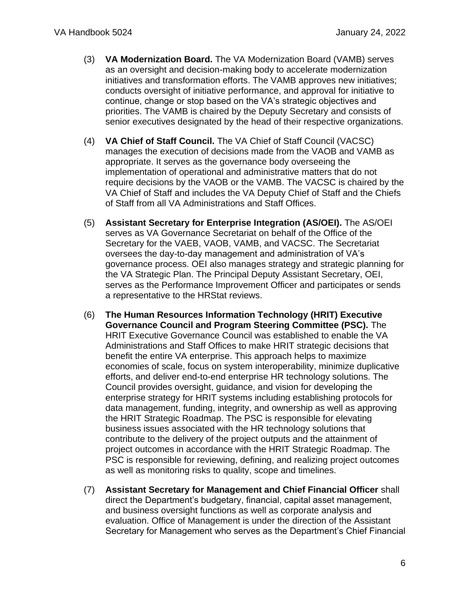- (3) **VA Modernization Board.** The VA Modernization Board (VAMB) serves as an oversight and decision-making body to accelerate modernization initiatives and transformation efforts. The VAMB approves new initiatives; conducts oversight of initiative performance, and approval for initiative to continue, change or stop based on the VA's strategic objectives and priorities. The VAMB is chaired by the Deputy Secretary and consists of senior executives designated by the head of their respective organizations.
- (4) **VA Chief of Staff Council.** The VA Chief of Staff Council (VACSC) manages the execution of decisions made from the VAOB and VAMB as appropriate. It serves as the governance body overseeing the implementation of operational and administrative matters that do not require decisions by the VAOB or the VAMB. The VACSC is chaired by the VA Chief of Staff and includes the VA Deputy Chief of Staff and the Chiefs of Staff from all VA Administrations and Staff Offices.
- (5) **Assistant Secretary for Enterprise Integration (AS/OEI).** The AS/OEI serves as VA Governance Secretariat on behalf of the Office of the Secretary for the VAEB, VAOB, VAMB, and VACSC. The Secretariat oversees the day-to-day management and administration of VA's governance process. OEI also manages strategy and strategic planning for the VA Strategic Plan. The Principal Deputy Assistant Secretary, OEI, serves as the Performance Improvement Officer and participates or sends a representative to the HRStat reviews.
- (6) **The Human Resources Information Technology (HRIT) Executive Governance Council and Program Steering Committee (PSC).** The HRIT Executive Governance Council was established to enable the VA Administrations and Staff Offices to make HRIT strategic decisions that benefit the entire VA enterprise. This approach helps to maximize economies of scale, focus on system interoperability, minimize duplicative efforts, and deliver end-to-end enterprise HR technology solutions. The Council provides oversight, guidance, and vision for developing the enterprise strategy for HRIT systems including establishing protocols for data management, funding, integrity, and ownership as well as approving the HRIT Strategic Roadmap. The PSC is responsible for elevating business issues associated with the HR technology solutions that contribute to the delivery of the project outputs and the attainment of project outcomes in accordance with the HRIT Strategic Roadmap. The PSC is responsible for reviewing, defining, and realizing project outcomes as well as monitoring risks to quality, scope and timelines.
- (7) **Assistant Secretary for Management and Chief Financial Officer** shall direct the Department's budgetary, financial, capital asset management, and business oversight functions as well as corporate analysis and evaluation. Office of Management is under the direction of the Assistant Secretary for Management who serves as the Department's Chief Financial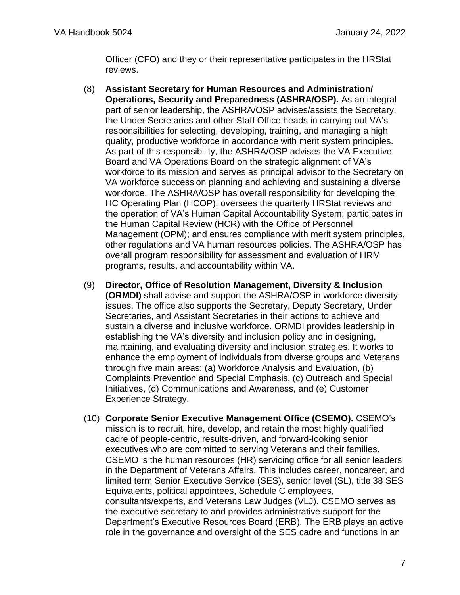Officer (CFO) and they or their representative participates in the HRStat reviews.

- (8) **Assistant Secretary for Human Resources and Administration/ Operations, Security and Preparedness (ASHRA/OSP).** As an integral part of senior leadership, the ASHRA/OSP advises/assists the Secretary, the Under Secretaries and other Staff Office heads in carrying out VA's responsibilities for selecting, developing, training, and managing a high quality, productive workforce in accordance with merit system principles. As part of this responsibility, the ASHRA/OSP advises the VA Executive Board and VA Operations Board on the strategic alignment of VA's workforce to its mission and serves as principal advisor to the Secretary on VA workforce succession planning and achieving and sustaining a diverse workforce. The ASHRA/OSP has overall responsibility for developing the HC Operating Plan (HCOP); oversees the quarterly HRStat reviews and the operation of VA's Human Capital Accountability System; participates in the Human Capital Review (HCR) with the Office of Personnel Management (OPM); and ensures compliance with merit system principles, other regulations and VA human resources policies. The ASHRA/OSP has overall program responsibility for assessment and evaluation of HRM programs, results, and accountability within VA.
- (9) **Director, Office of Resolution Management, Diversity & Inclusion (ORMDI)** shall advise and support the ASHRA/OSP in workforce diversity issues. The office also supports the Secretary, Deputy Secretary, Under Secretaries, and Assistant Secretaries in their actions to achieve and sustain a diverse and inclusive workforce. ORMDI provides leadership in establishing the VA's diversity and inclusion policy and in designing, maintaining, and evaluating diversity and inclusion strategies. It works to enhance the employment of individuals from diverse groups and Veterans through five main areas: (a) Workforce Analysis and Evaluation, (b) Complaints Prevention and Special Emphasis, (c) Outreach and Special Initiatives, (d) Communications and Awareness, and (e) Customer Experience Strategy.
- (10) **Corporate Senior Executive Management Office (CSEMO).** CSEMO's mission is to recruit, hire, develop, and retain the most highly qualified cadre of people-centric, results-driven, and forward-looking senior executives who are committed to serving Veterans and their families. CSEMO is the human resources (HR) servicing office for all senior leaders in the Department of Veterans Affairs. This includes career, noncareer, and limited term Senior Executive Service (SES), senior level (SL), title 38 SES Equivalents, political appointees, Schedule C employees, consultants/experts, and Veterans Law Judges (VLJ). CSEMO serves as the executive secretary to and provides administrative support for the Department's Executive Resources Board (ERB). The ERB plays an active role in the governance and oversight of the SES cadre and functions in an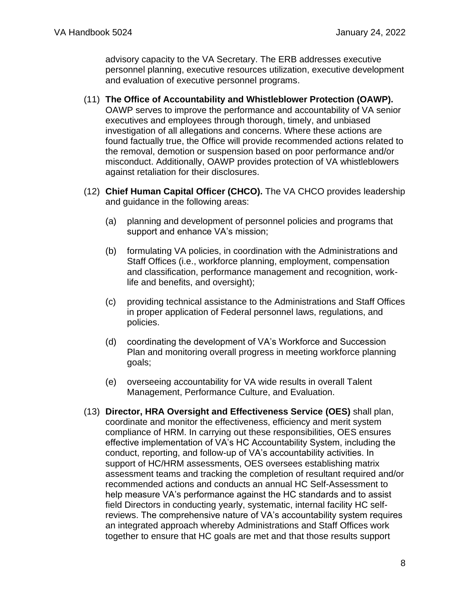advisory capacity to the VA Secretary. The ERB addresses executive personnel planning, executive resources utilization, executive development and evaluation of executive personnel programs.

- (11) **The Office of Accountability and Whistleblower Protection (OAWP).** OAWP serves to improve the performance and accountability of VA senior executives and employees through thorough, timely, and unbiased investigation of all allegations and concerns. Where these actions are found factually true, the Office will provide recommended actions related to the removal, demotion or suspension based on poor performance and/or misconduct. Additionally, OAWP provides protection of VA whistleblowers against retaliation for their disclosures.
- (12) **Chief Human Capital Officer (CHCO).** The VA CHCO provides leadership and guidance in the following areas:
	- (a) planning and development of personnel policies and programs that support and enhance VA's mission;
	- (b) formulating VA policies, in coordination with the Administrations and Staff Offices (i.e., workforce planning, employment, compensation and classification, performance management and recognition, worklife and benefits, and oversight);
	- (c) providing technical assistance to the Administrations and Staff Offices in proper application of Federal personnel laws, regulations, and policies.
	- (d) coordinating the development of VA's Workforce and Succession Plan and monitoring overall progress in meeting workforce planning goals;
	- (e) overseeing accountability for VA wide results in overall Talent Management, Performance Culture, and Evaluation.
- (13) **Director, HRA Oversight and Effectiveness Service (OES)** shall plan, coordinate and monitor the effectiveness, efficiency and merit system compliance of HRM. In carrying out these responsibilities, OES ensures effective implementation of VA's HC Accountability System, including the conduct, reporting, and follow-up of VA's accountability activities. In support of HC/HRM assessments, OES oversees establishing matrix assessment teams and tracking the completion of resultant required and/or recommended actions and conducts an annual HC Self-Assessment to help measure VA's performance against the HC standards and to assist field Directors in conducting yearly, systematic, internal facility HC selfreviews. The comprehensive nature of VA's accountability system requires an integrated approach whereby Administrations and Staff Offices work together to ensure that HC goals are met and that those results support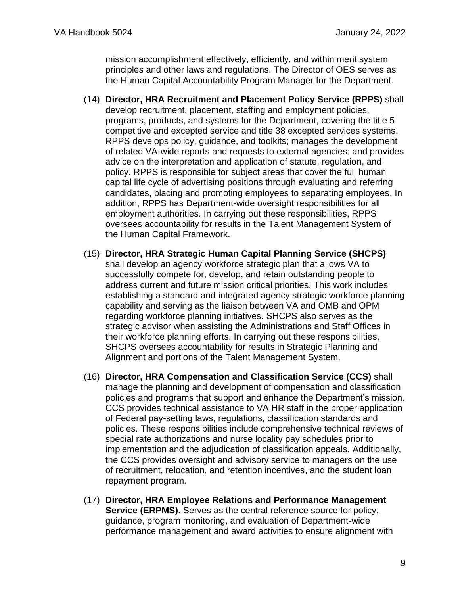mission accomplishment effectively, efficiently, and within merit system principles and other laws and regulations. The Director of OES serves as the Human Capital Accountability Program Manager for the Department.

- (14) **Director, HRA Recruitment and Placement Policy Service (RPPS)** shall develop recruitment, placement, staffing and employment policies, programs, products, and systems for the Department, covering the title 5 competitive and excepted service and title 38 excepted services systems. RPPS develops policy, guidance, and toolkits; manages the development of related VA-wide reports and requests to external agencies; and provides advice on the interpretation and application of statute, regulation, and policy. RPPS is responsible for subject areas that cover the full human capital life cycle of advertising positions through evaluating and referring candidates, placing and promoting employees to separating employees. In addition, RPPS has Department-wide oversight responsibilities for all employment authorities. In carrying out these responsibilities, RPPS oversees accountability for results in the Talent Management System of the Human Capital Framework.
- (15) **Director, HRA Strategic Human Capital Planning Service (SHCPS)**  shall develop an agency workforce strategic plan that allows VA to successfully compete for, develop, and retain outstanding people to address current and future mission critical priorities. This work includes establishing a standard and integrated agency strategic workforce planning capability and serving as the liaison between VA and OMB and OPM regarding workforce planning initiatives. SHCPS also serves as the strategic advisor when assisting the Administrations and Staff Offices in their workforce planning efforts. In carrying out these responsibilities, SHCPS oversees accountability for results in Strategic Planning and Alignment and portions of the Talent Management System.
- (16) **Director, HRA Compensation and Classification Service (CCS)** shall manage the planning and development of compensation and classification policies and programs that support and enhance the Department's mission. CCS provides technical assistance to VA HR staff in the proper application of Federal pay-setting laws, regulations, classification standards and policies. These responsibilities include comprehensive technical reviews of special rate authorizations and nurse locality pay schedules prior to implementation and the adjudication of classification appeals. Additionally, the CCS provides oversight and advisory service to managers on the use of recruitment, relocation, and retention incentives, and the student loan repayment program.
- (17) **Director, HRA Employee Relations and Performance Management Service (ERPMS).** Serves as the central reference source for policy, guidance, program monitoring, and evaluation of Department-wide performance management and award activities to ensure alignment with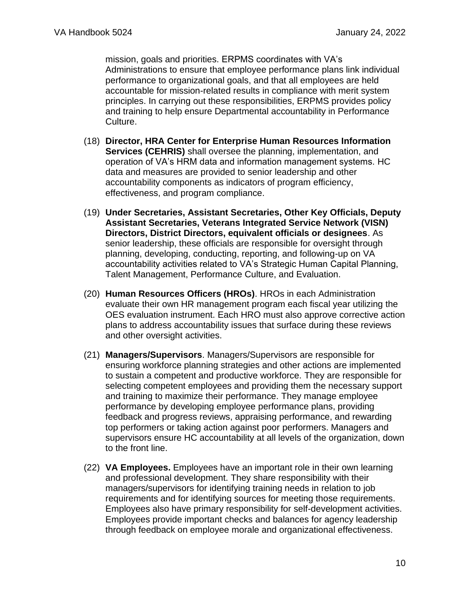mission, goals and priorities. ERPMS coordinates with VA's Administrations to ensure that employee performance plans link individual performance to organizational goals, and that all employees are held accountable for mission-related results in compliance with merit system principles. In carrying out these responsibilities, ERPMS provides policy and training to help ensure Departmental accountability in Performance Culture.

- (18) **Director, HRA Center for Enterprise Human Resources Information Services (CEHRIS)** shall oversee the planning, implementation, and operation of VA's HRM data and information management systems. HC data and measures are provided to senior leadership and other accountability components as indicators of program efficiency, effectiveness, and program compliance.
- (19) **Under Secretaries, Assistant Secretaries, Other Key Officials, Deputy Assistant Secretaries, Veterans Integrated Service Network (VISN) Directors, District Directors, equivalent officials or designees**. As senior leadership, these officials are responsible for oversight through planning, developing, conducting, reporting, and following-up on VA accountability activities related to VA's Strategic Human Capital Planning, Talent Management, Performance Culture, and Evaluation.
- (20) **Human Resources Officers (HROs)**. HROs in each Administration evaluate their own HR management program each fiscal year utilizing the OES evaluation instrument. Each HRO must also approve corrective action plans to address accountability issues that surface during these reviews and other oversight activities.
- (21) **Managers/Supervisors**. Managers/Supervisors are responsible for ensuring workforce planning strategies and other actions are implemented to sustain a competent and productive workforce. They are responsible for selecting competent employees and providing them the necessary support and training to maximize their performance. They manage employee performance by developing employee performance plans, providing feedback and progress reviews, appraising performance, and rewarding top performers or taking action against poor performers. Managers and supervisors ensure HC accountability at all levels of the organization, down to the front line.
- (22) **VA Employees.** Employees have an important role in their own learning and professional development. They share responsibility with their managers/supervisors for identifying training needs in relation to job requirements and for identifying sources for meeting those requirements. Employees also have primary responsibility for self-development activities. Employees provide important checks and balances for agency leadership through feedback on employee morale and organizational effectiveness.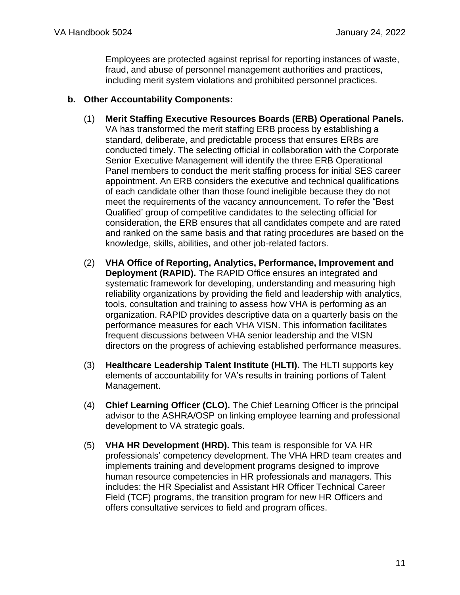Employees are protected against reprisal for reporting instances of waste, fraud, and abuse of personnel management authorities and practices, including merit system violations and prohibited personnel practices.

#### **b. Other Accountability Components:**

- (1) **Merit Staffing Executive Resources Boards (ERB) Operational Panels.** VA has transformed the merit staffing ERB process by establishing a standard, deliberate, and predictable process that ensures ERBs are conducted timely. The selecting official in collaboration with the Corporate Senior Executive Management will identify the three ERB Operational Panel members to conduct the merit staffing process for initial SES career appointment. An ERB considers the executive and technical qualifications of each candidate other than those found ineligible because they do not meet the requirements of the vacancy announcement. To refer the "Best Qualified' group of competitive candidates to the selecting official for consideration, the ERB ensures that all candidates compete and are rated and ranked on the same basis and that rating procedures are based on the knowledge, skills, abilities, and other job-related factors.
- (2) **VHA Office of Reporting, Analytics, Performance, Improvement and Deployment (RAPID).** The RAPID Office ensures an integrated and systematic framework for developing, understanding and measuring high reliability organizations by providing the field and leadership with analytics, tools, consultation and training to assess how VHA is performing as an organization. RAPID provides descriptive data on a quarterly basis on the performance measures for each VHA VISN. This information facilitates frequent discussions between VHA senior leadership and the VISN directors on the progress of achieving established performance measures.
- (3) **Healthcare Leadership Talent Institute (HLTI).** The HLTI supports key elements of accountability for VA's results in training portions of Talent Management.
- (4) **Chief Learning Officer (CLO).** The Chief Learning Officer is the principal advisor to the ASHRA/OSP on linking employee learning and professional development to VA strategic goals.
- (5) **VHA HR Development (HRD).** This team is responsible for VA HR professionals' competency development. The VHA HRD team creates and implements training and development programs designed to improve human resource competencies in HR professionals and managers. This includes: the HR Specialist and Assistant HR Officer Technical Career Field (TCF) programs, the transition program for new HR Officers and offers consultative services to field and program offices.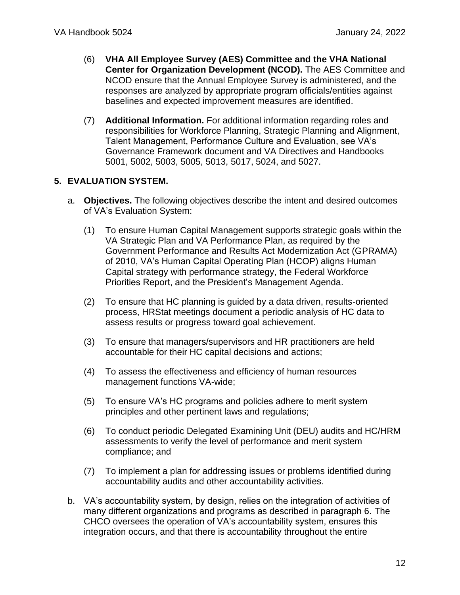- (6) **VHA All Employee Survey (AES) Committee and the VHA National Center for Organization Development (NCOD).** The AES Committee and NCOD ensure that the Annual Employee Survey is administered, and the responses are analyzed by appropriate program officials/entities against baselines and expected improvement measures are identified.
- (7) **Additional Information.** For additional information regarding roles and responsibilities for Workforce Planning, Strategic Planning and Alignment, Talent Management, Performance Culture and Evaluation, see VA's Governance Framework document and VA Directives and Handbooks 5001, 5002, 5003, 5005, 5013, 5017, 5024, and 5027.

## <span id="page-11-0"></span>**5. EVALUATION SYSTEM.**

- a. **Objectives.** The following objectives describe the intent and desired outcomes of VA's Evaluation System:
	- (1) To ensure Human Capital Management supports strategic goals within the VA Strategic Plan and VA Performance Plan, as required by the Government Performance and Results Act Modernization Act (GPRAMA) of 2010, VA's Human Capital Operating Plan (HCOP) aligns Human Capital strategy with performance strategy, the Federal Workforce Priorities Report, and the President's Management Agenda.
	- (2) To ensure that HC planning is guided by a data driven, results-oriented process, HRStat meetings document a periodic analysis of HC data to assess results or progress toward goal achievement.
	- (3) To ensure that managers/supervisors and HR practitioners are held accountable for their HC capital decisions and actions;
	- (4) To assess the effectiveness and efficiency of human resources management functions VA-wide;
	- (5) To ensure VA's HC programs and policies adhere to merit system principles and other pertinent laws and regulations;
	- (6) To conduct periodic Delegated Examining Unit (DEU) audits and HC/HRM assessments to verify the level of performance and merit system compliance; and
	- (7) To implement a plan for addressing issues or problems identified during accountability audits and other accountability activities.
- b. VA's accountability system, by design, relies on the integration of activities of many different organizations and programs as described in paragraph 6. The CHCO oversees the operation of VA's accountability system, ensures this integration occurs, and that there is accountability throughout the entire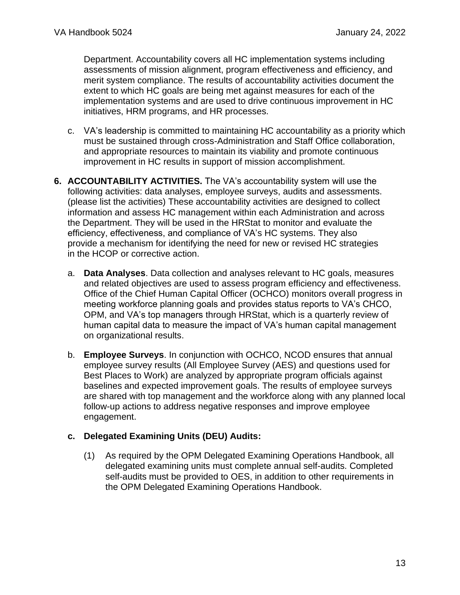Department. Accountability covers all HC implementation systems including assessments of mission alignment, program effectiveness and efficiency, and merit system compliance. The results of accountability activities document the extent to which HC goals are being met against measures for each of the implementation systems and are used to drive continuous improvement in HC initiatives, HRM programs, and HR processes.

- c. VA's leadership is committed to maintaining HC accountability as a priority which must be sustained through cross-Administration and Staff Office collaboration, and appropriate resources to maintain its viability and promote continuous improvement in HC results in support of mission accomplishment.
- <span id="page-12-0"></span>**6. ACCOUNTABILITY ACTIVITIES.** The VA's accountability system will use the following activities: data analyses, employee surveys, audits and assessments. (please list the activities) These accountability activities are designed to collect information and assess HC management within each Administration and across the Department. They will be used in the HRStat to monitor and evaluate the efficiency, effectiveness, and compliance of VA's HC systems. They also provide a mechanism for identifying the need for new or revised HC strategies in the HCOP or corrective action.
	- a. **Data Analyses**. Data collection and analyses relevant to HC goals, measures and related objectives are used to assess program efficiency and effectiveness. Office of the Chief Human Capital Officer (OCHCO) monitors overall progress in meeting workforce planning goals and provides status reports to VA's CHCO, OPM, and VA's top managers through HRStat, which is a quarterly review of human capital data to measure the impact of VA's human capital management on organizational results.
	- b. **Employee Surveys**. In conjunction with OCHCO, NCOD ensures that annual employee survey results (All Employee Survey (AES) and questions used for Best Places to Work) are analyzed by appropriate program officials against baselines and expected improvement goals. The results of employee surveys are shared with top management and the workforce along with any planned local follow-up actions to address negative responses and improve employee engagement.

## **c. Delegated Examining Units (DEU) Audits:**

(1) As required by the OPM Delegated Examining Operations Handbook, all delegated examining units must complete annual self-audits. Completed self-audits must be provided to OES, in addition to other requirements in the OPM Delegated Examining Operations Handbook.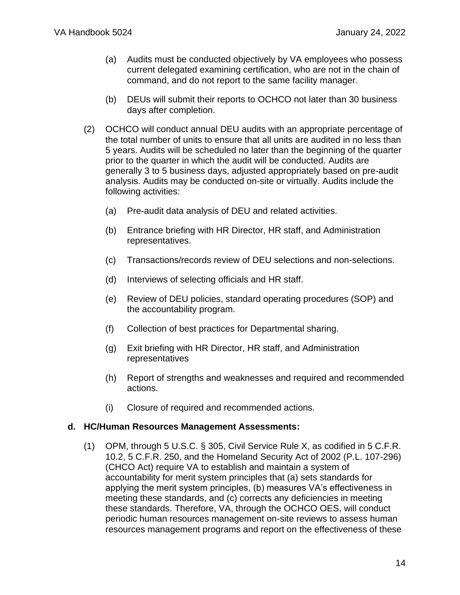- (a) Audits must be conducted objectively by VA employees who possess current delegated examining certification, who are not in the chain of command, and do not report to the same facility manager.
- (b) DEUs will submit their reports to OCHCO not later than 30 business days after completion.
- (2) OCHCO will conduct annual DEU audits with an appropriate percentage of the total number of units to ensure that all units are audited in no less than 5 years. Audits will be scheduled no later than the beginning of the quarter prior to the quarter in which the audit will be conducted. Audits are generally 3 to 5 business days, adjusted appropriately based on pre-audit analysis. Audits may be conducted on-site or virtually. Audits include the following activities:
	- (a) Pre-audit data analysis of DEU and related activities.
	- (b) Entrance briefing with HR Director, HR staff, and Administration representatives.
	- (c) Transactions/records review of DEU selections and non-selections.
	- (d) Interviews of selecting officials and HR staff.
	- (e) Review of DEU policies, standard operating procedures (SOP) and the accountability program.
	- (f) Collection of best practices for Departmental sharing.
	- (g) Exit briefing with HR Director, HR staff, and Administration representatives
	- (h) Report of strengths and weaknesses and required and recommended actions.
	- (i) Closure of required and recommended actions.

#### **d. HC/Human Resources Management Assessments:**

(1) OPM, through 5 U.S.C. § 305, Civil Service Rule X, as codified in 5 C.F.R. 10.2, 5 C.F.R. 250, and the Homeland Security Act of 2002 (P.L. 107-296) (CHCO Act) require VA to establish and maintain a system of accountability for merit system principles that (a) sets standards for applying the merit system principles, (b) measures VA's effectiveness in meeting these standards, and (c) corrects any deficiencies in meeting these standards. Therefore, VA, through the OCHCO OES, will conduct periodic human resources management on-site reviews to assess human resources management programs and report on the effectiveness of these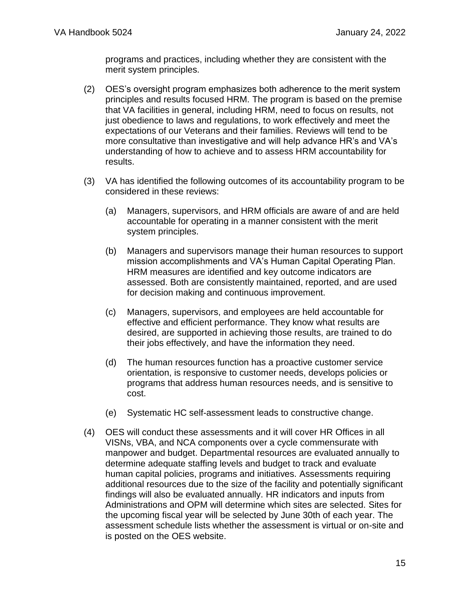programs and practices, including whether they are consistent with the merit system principles.

- (2) OES's oversight program emphasizes both adherence to the merit system principles and results focused HRM. The program is based on the premise that VA facilities in general, including HRM, need to focus on results, not just obedience to laws and regulations, to work effectively and meet the expectations of our Veterans and their families. Reviews will tend to be more consultative than investigative and will help advance HR's and VA's understanding of how to achieve and to assess HRM accountability for results.
- (3) VA has identified the following outcomes of its accountability program to be considered in these reviews:
	- (a) Managers, supervisors, and HRM officials are aware of and are held accountable for operating in a manner consistent with the merit system principles.
	- (b) Managers and supervisors manage their human resources to support mission accomplishments and VA's Human Capital Operating Plan. HRM measures are identified and key outcome indicators are assessed. Both are consistently maintained, reported, and are used for decision making and continuous improvement.
	- (c) Managers, supervisors, and employees are held accountable for effective and efficient performance. They know what results are desired, are supported in achieving those results, are trained to do their jobs effectively, and have the information they need.
	- (d) The human resources function has a proactive customer service orientation, is responsive to customer needs, develops policies or programs that address human resources needs, and is sensitive to cost.
	- (e) Systematic HC self-assessment leads to constructive change.
- (4) OES will conduct these assessments and it will cover HR Offices in all VISNs, VBA, and NCA components over a cycle commensurate with manpower and budget. Departmental resources are evaluated annually to determine adequate staffing levels and budget to track and evaluate human capital policies, programs and initiatives. Assessments requiring additional resources due to the size of the facility and potentially significant findings will also be evaluated annually. HR indicators and inputs from Administrations and OPM will determine which sites are selected. Sites for the upcoming fiscal year will be selected by June 30th of each year. The assessment schedule lists whether the assessment is virtual or on-site and is posted on the OES website.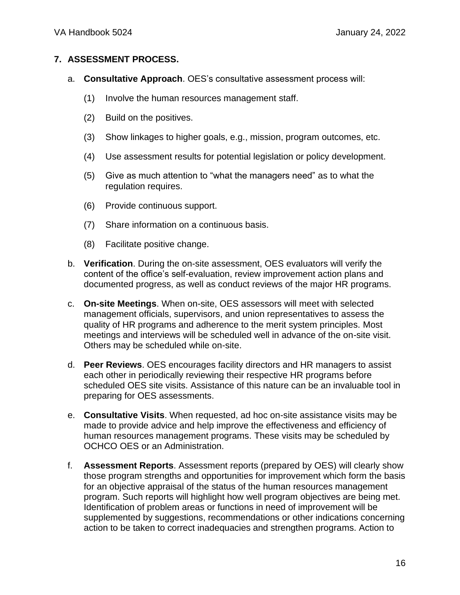#### <span id="page-15-0"></span>**7. ASSESSMENT PROCESS.**

- a. **Consultative Approach**. OES's consultative assessment process will:
	- (1) Involve the human resources management staff.
	- (2) Build on the positives.
	- (3) Show linkages to higher goals, e.g., mission, program outcomes, etc.
	- (4) Use assessment results for potential legislation or policy development.
	- (5) Give as much attention to "what the managers need" as to what the regulation requires.
	- (6) Provide continuous support.
	- (7) Share information on a continuous basis.
	- (8) Facilitate positive change.
- b. **Verification**. During the on-site assessment, OES evaluators will verify the content of the office's self-evaluation, review improvement action plans and documented progress, as well as conduct reviews of the major HR programs.
- c. **On-site Meetings**. When on-site, OES assessors will meet with selected management officials, supervisors, and union representatives to assess the quality of HR programs and adherence to the merit system principles. Most meetings and interviews will be scheduled well in advance of the on-site visit. Others may be scheduled while on-site.
- d. **Peer Reviews**. OES encourages facility directors and HR managers to assist each other in periodically reviewing their respective HR programs before scheduled OES site visits. Assistance of this nature can be an invaluable tool in preparing for OES assessments.
- e. **Consultative Visits**. When requested, ad hoc on-site assistance visits may be made to provide advice and help improve the effectiveness and efficiency of human resources management programs. These visits may be scheduled by OCHCO OES or an Administration.
- f. **Assessment Reports**. Assessment reports (prepared by OES) will clearly show those program strengths and opportunities for improvement which form the basis for an objective appraisal of the status of the human resources management program. Such reports will highlight how well program objectives are being met. Identification of problem areas or functions in need of improvement will be supplemented by suggestions, recommendations or other indications concerning action to be taken to correct inadequacies and strengthen programs. Action to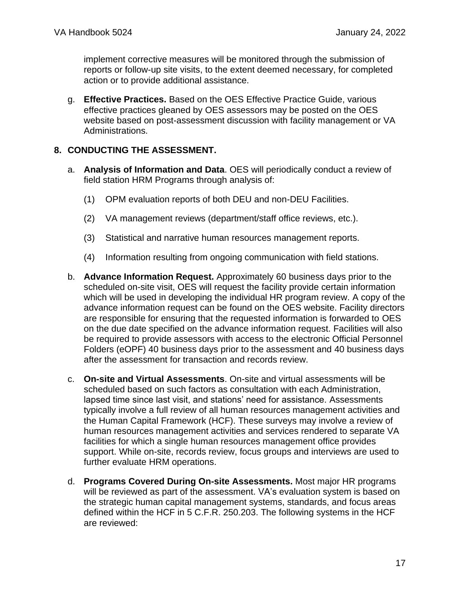implement corrective measures will be monitored through the submission of reports or follow-up site visits, to the extent deemed necessary, for completed action or to provide additional assistance.

g. **Effective Practices.** Based on the OES Effective Practice Guide, various effective practices gleaned by OES assessors may be posted on the OES website based on post-assessment discussion with facility management or VA Administrations.

#### <span id="page-16-0"></span>**8. CONDUCTING THE ASSESSMENT.**

- a. **Analysis of Information and Data**. OES will periodically conduct a review of field station HRM Programs through analysis of:
	- (1) OPM evaluation reports of both DEU and non-DEU Facilities.
	- (2) VA management reviews (department/staff office reviews, etc.).
	- (3) Statistical and narrative human resources management reports.
	- (4) Information resulting from ongoing communication with field stations.
- b. **Advance Information Request.** Approximately 60 business days prior to the scheduled on-site visit, OES will request the facility provide certain information which will be used in developing the individual HR program review. A copy of the advance information request can be found on the OES website. Facility directors are responsible for ensuring that the requested information is forwarded to OES on the due date specified on the advance information request. Facilities will also be required to provide assessors with access to the electronic Official Personnel Folders (eOPF) 40 business days prior to the assessment and 40 business days after the assessment for transaction and records review.
- c. **On-site and Virtual Assessments**. On-site and virtual assessments will be scheduled based on such factors as consultation with each Administration, lapsed time since last visit, and stations' need for assistance. Assessments typically involve a full review of all human resources management activities and the Human Capital Framework (HCF). These surveys may involve a review of human resources management activities and services rendered to separate VA facilities for which a single human resources management office provides support. While on-site, records review, focus groups and interviews are used to further evaluate HRM operations.
- d. **Programs Covered During On-site Assessments.** Most major HR programs will be reviewed as part of the assessment. VA's evaluation system is based on the strategic human capital management systems, standards, and focus areas defined within the HCF in 5 C.F.R. 250.203. The following systems in the HCF are reviewed: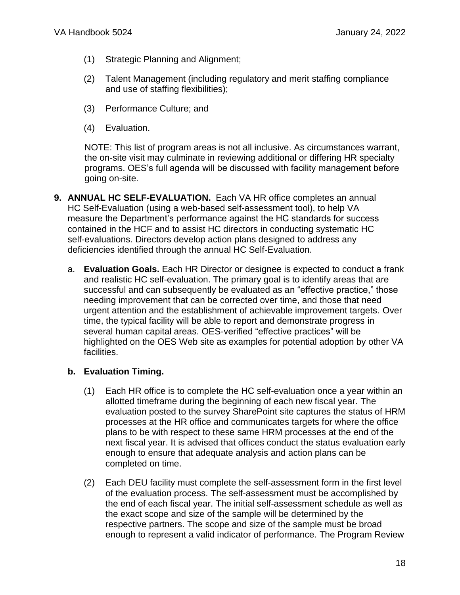- (1) Strategic Planning and Alignment;
- (2) Talent Management (including regulatory and merit staffing compliance and use of staffing flexibilities);
- (3) Performance Culture; and
- (4) Evaluation.

NOTE: This list of program areas is not all inclusive. As circumstances warrant, the on-site visit may culminate in reviewing additional or differing HR specialty programs. OES's full agenda will be discussed with facility management before going on-site.

- <span id="page-17-0"></span>**9. ANNUAL HC SELF-EVALUATION.** Each VA HR office completes an annual HC Self-Evaluation (using a web-based self-assessment tool), to help VA measure the Department's performance against the HC standards for success contained in the HCF and to assist HC directors in conducting systematic HC self-evaluations. Directors develop action plans designed to address any deficiencies identified through the annual HC Self-Evaluation.
	- a. **Evaluation Goals.** Each HR Director or designee is expected to conduct a frank and realistic HC self-evaluation. The primary goal is to identify areas that are successful and can subsequently be evaluated as an "effective practice," those needing improvement that can be corrected over time, and those that need urgent attention and the establishment of achievable improvement targets. Over time, the typical facility will be able to report and demonstrate progress in several human capital areas. OES-verified "effective practices" will be highlighted on the OES Web site as examples for potential adoption by other VA facilities.

## **b. Evaluation Timing.**

- (1) Each HR office is to complete the HC self-evaluation once a year within an allotted timeframe during the beginning of each new fiscal year. The evaluation posted to the survey SharePoint site captures the status of HRM processes at the HR office and communicates targets for where the office plans to be with respect to these same HRM processes at the end of the next fiscal year. It is advised that offices conduct the status evaluation early enough to ensure that adequate analysis and action plans can be completed on time.
- (2) Each DEU facility must complete the self-assessment form in the first level of the evaluation process. The self-assessment must be accomplished by the end of each fiscal year. The initial self-assessment schedule as well as the exact scope and size of the sample will be determined by the respective partners. The scope and size of the sample must be broad enough to represent a valid indicator of performance. The Program Review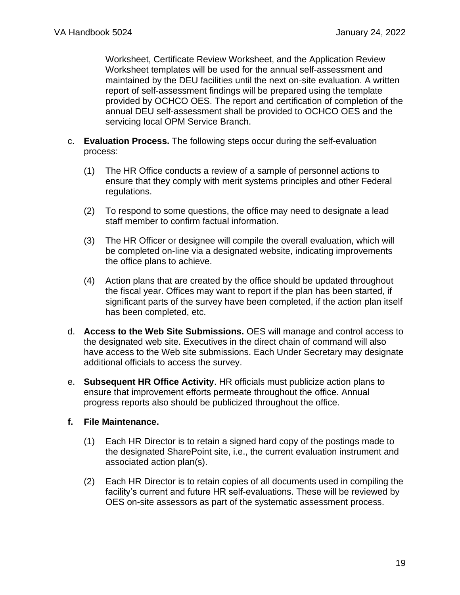Worksheet, Certificate Review Worksheet, and the Application Review Worksheet templates will be used for the annual self-assessment and maintained by the DEU facilities until the next on-site evaluation. A written report of self-assessment findings will be prepared using the template provided by OCHCO OES. The report and certification of completion of the annual DEU self-assessment shall be provided to OCHCO OES and the servicing local OPM Service Branch.

- c. **Evaluation Process.** The following steps occur during the self-evaluation process:
	- (1) The HR Office conducts a review of a sample of personnel actions to ensure that they comply with merit systems principles and other Federal regulations.
	- (2) To respond to some questions, the office may need to designate a lead staff member to confirm factual information.
	- (3) The HR Officer or designee will compile the overall evaluation, which will be completed on-line via a designated website, indicating improvements the office plans to achieve.
	- (4) Action plans that are created by the office should be updated throughout the fiscal year. Offices may want to report if the plan has been started, if significant parts of the survey have been completed, if the action plan itself has been completed, etc.
- d. **Access to the Web Site Submissions.** OES will manage and control access to the designated web site. Executives in the direct chain of command will also have access to the Web site submissions. Each Under Secretary may designate additional officials to access the survey.
- e. **Subsequent HR Office Activity**. HR officials must publicize action plans to ensure that improvement efforts permeate throughout the office. Annual progress reports also should be publicized throughout the office.
- **f. File Maintenance.**
	- (1) Each HR Director is to retain a signed hard copy of the postings made to the designated SharePoint site, i.e., the current evaluation instrument and associated action plan(s).
	- (2) Each HR Director is to retain copies of all documents used in compiling the facility's current and future HR self-evaluations. These will be reviewed by OES on-site assessors as part of the systematic assessment process.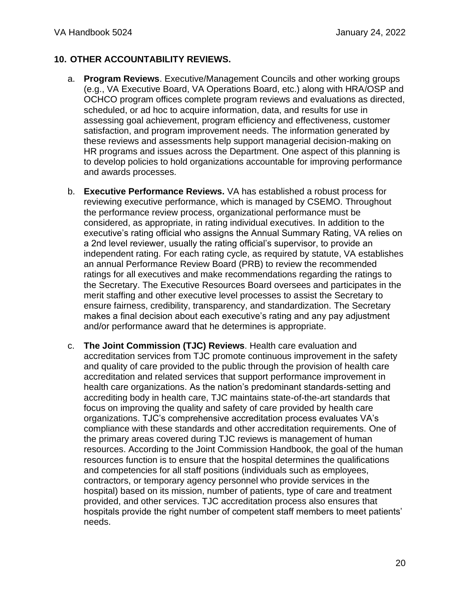## <span id="page-19-0"></span>**10. OTHER ACCOUNTABILITY REVIEWS.**

- a. **Program Reviews**. Executive/Management Councils and other working groups (e.g., VA Executive Board, VA Operations Board, etc.) along with HRA/OSP and OCHCO program offices complete program reviews and evaluations as directed, scheduled, or ad hoc to acquire information, data, and results for use in assessing goal achievement, program efficiency and effectiveness, customer satisfaction, and program improvement needs. The information generated by these reviews and assessments help support managerial decision-making on HR programs and issues across the Department. One aspect of this planning is to develop policies to hold organizations accountable for improving performance and awards processes.
- b. **Executive Performance Reviews.** VA has established a robust process for reviewing executive performance, which is managed by CSEMO. Throughout the performance review process, organizational performance must be considered, as appropriate, in rating individual executives. In addition to the executive's rating official who assigns the Annual Summary Rating, VA relies on a 2nd level reviewer, usually the rating official's supervisor, to provide an independent rating. For each rating cycle, as required by statute, VA establishes an annual Performance Review Board (PRB) to review the recommended ratings for all executives and make recommendations regarding the ratings to the Secretary. The Executive Resources Board oversees and participates in the merit staffing and other executive level processes to assist the Secretary to ensure fairness, credibility, transparency, and standardization. The Secretary makes a final decision about each executive's rating and any pay adjustment and/or performance award that he determines is appropriate.
- c. **The Joint Commission (TJC) Reviews**. Health care evaluation and accreditation services from TJC promote continuous improvement in the safety and quality of care provided to the public through the provision of health care accreditation and related services that support performance improvement in health care organizations. As the nation's predominant standards-setting and accrediting body in health care, TJC maintains state-of-the-art standards that focus on improving the quality and safety of care provided by health care organizations. TJC's comprehensive accreditation process evaluates VA's compliance with these standards and other accreditation requirements. One of the primary areas covered during TJC reviews is management of human resources. According to the Joint Commission Handbook, the goal of the human resources function is to ensure that the hospital determines the qualifications and competencies for all staff positions (individuals such as employees, contractors, or temporary agency personnel who provide services in the hospital) based on its mission, number of patients, type of care and treatment provided, and other services. TJC accreditation process also ensures that hospitals provide the right number of competent staff members to meet patients' needs.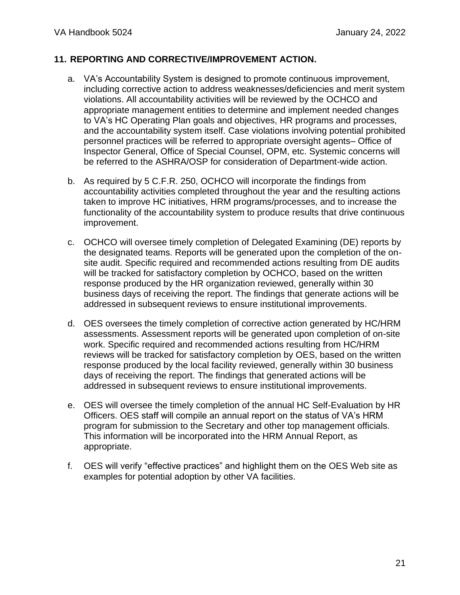#### <span id="page-20-0"></span>**11. REPORTING AND CORRECTIVE/IMPROVEMENT ACTION.**

- a. VA's Accountability System is designed to promote continuous improvement, including corrective action to address weaknesses/deficiencies and merit system violations. All accountability activities will be reviewed by the OCHCO and appropriate management entities to determine and implement needed changes to VA's HC Operating Plan goals and objectives, HR programs and processes, and the accountability system itself. Case violations involving potential prohibited personnel practices will be referred to appropriate oversight agents– Office of Inspector General, Office of Special Counsel, OPM, etc. Systemic concerns will be referred to the ASHRA/OSP for consideration of Department-wide action.
- b. As required by 5 C.F.R. 250, OCHCO will incorporate the findings from accountability activities completed throughout the year and the resulting actions taken to improve HC initiatives, HRM programs/processes, and to increase the functionality of the accountability system to produce results that drive continuous improvement.
- c. OCHCO will oversee timely completion of Delegated Examining (DE) reports by the designated teams. Reports will be generated upon the completion of the onsite audit. Specific required and recommended actions resulting from DE audits will be tracked for satisfactory completion by OCHCO, based on the written response produced by the HR organization reviewed, generally within 30 business days of receiving the report. The findings that generate actions will be addressed in subsequent reviews to ensure institutional improvements.
- d. OES oversees the timely completion of corrective action generated by HC/HRM assessments. Assessment reports will be generated upon completion of on-site work. Specific required and recommended actions resulting from HC/HRM reviews will be tracked for satisfactory completion by OES, based on the written response produced by the local facility reviewed, generally within 30 business days of receiving the report. The findings that generated actions will be addressed in subsequent reviews to ensure institutional improvements.
- e. OES will oversee the timely completion of the annual HC Self-Evaluation by HR Officers. OES staff will compile an annual report on the status of VA's HRM program for submission to the Secretary and other top management officials. This information will be incorporated into the HRM Annual Report, as appropriate.
- f. OES will verify "effective practices" and highlight them on the OES Web site as examples for potential adoption by other VA facilities.